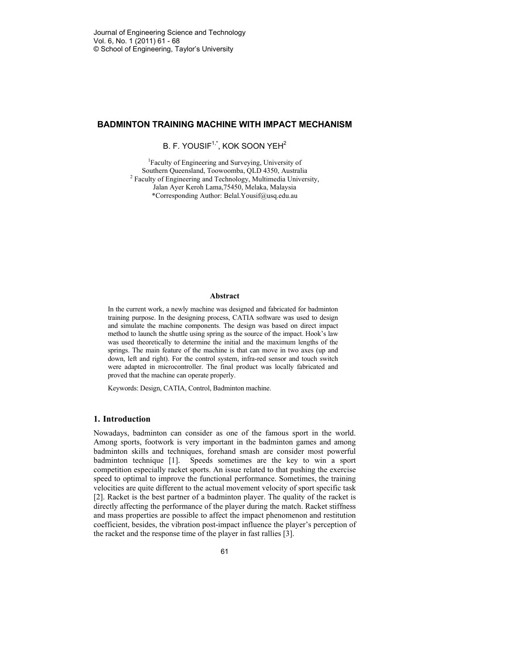# **BADMINTON TRAINING MACHINE WITH IMPACT MECHANISM**

B. F. YOUSIF<sup>1,\*</sup>, KOK SOON YEH<sup>2</sup>

1 Faculty of Engineering and Surveying, University of Southern Queensland, Toowoomba, QLD 4350, Australia <sup>2</sup> Faculty of Engineering and Technology, Multimedia University, Jalan Ayer Keroh Lama,75450, Melaka, Malaysia \*Corresponding Author: Belal.Yousif@usq.edu.au

#### **Abstract**

In the current work, a newly machine was designed and fabricated for badminton training purpose. In the designing process, CATIA software was used to design and simulate the machine components. The design was based on direct impact method to launch the shuttle using spring as the source of the impact. Hook's law was used theoretically to determine the initial and the maximum lengths of the springs. The main feature of the machine is that can move in two axes (up and down, left and right). For the control system, infra-red sensor and touch switch were adapted in microcontroller. The final product was locally fabricated and proved that the machine can operate properly.

Keywords: Design, CATIA, Control, Badminton machine.

# **1. Introduction**

Nowadays, badminton can consider as one of the famous sport in the world. Among sports, footwork is very important in the badminton games and among badminton skills and techniques, forehand smash are consider most powerful badminton technique [1]. Speeds sometimes are the key to win a sport competition especially racket sports. An issue related to that pushing the exercise speed to optimal to improve the functional performance. Sometimes, the training velocities are quite different to the actual movement velocity of sport specific task [2]. Racket is the best partner of a badminton player. The quality of the racket is directly affecting the performance of the player during the match. Racket stiffness and mass properties are possible to affect the impact phenomenon and restitution coefficient, besides, the vibration post-impact influence the player's perception of the racket and the response time of the player in fast rallies [3].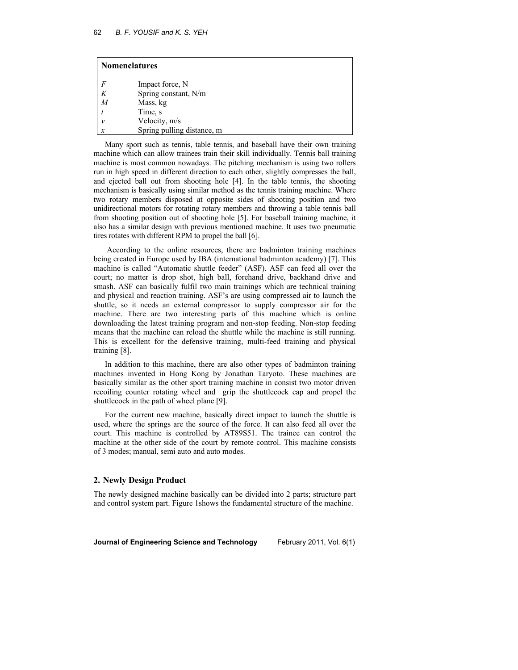| <b>Nomenclatures</b> |                            |
|----------------------|----------------------------|
| F                    | Impact force, N            |
| K                    | Spring constant, N/m       |
| M                    | Mass, kg                   |
|                      | Time, s                    |
| ν                    | Velocity, m/s              |
| x                    | Spring pulling distance, m |

Many sport such as tennis, table tennis, and baseball have their own training machine which can allow trainees train their skill individually. Tennis ball training machine is most common nowadays. The pitching mechanism is using two rollers run in high speed in different direction to each other, slightly compresses the ball, and ejected ball out from shooting hole [4]. In the table tennis, the shooting mechanism is basically using similar method as the tennis training machine. Where two rotary members disposed at opposite sides of shooting position and two unidirectional motors for rotating rotary members and throwing a table tennis ball from shooting position out of shooting hole [5]. For baseball training machine, it also has a similar design with previous mentioned machine. It uses two pneumatic tires rotates with different RPM to propel the ball [6].

 According to the online resources, there are badminton training machines being created in Europe used by IBA (international badminton academy) [7]. This machine is called "Automatic shuttle feeder" (ASF). ASF can feed all over the court; no matter is drop shot, high ball, forehand drive, backhand drive and smash. ASF can basically fulfil two main trainings which are technical training and physical and reaction training. ASF's are using compressed air to launch the shuttle, so it needs an external compressor to supply compressor air for the machine. There are two interesting parts of this machine which is online downloading the latest training program and non-stop feeding. Non-stop feeding means that the machine can reload the shuttle while the machine is still running. This is excellent for the defensive training, multi-feed training and physical training [8].

In addition to this machine, there are also other types of badminton training machines invented in Hong Kong by Jonathan Taryoto. These machines are basically similar as the other sport training machine in consist two motor driven recoiling counter rotating wheel and grip the shuttlecock cap and propel the shuttlecock in the path of wheel plane [9].

For the current new machine, basically direct impact to launch the shuttle is used, where the springs are the source of the force. It can also feed all over the court. This machine is controlled by AT89S51. The trainee can control the machine at the other side of the court by remote control. This machine consists of 3 modes; manual, semi auto and auto modes.

## **2. Newly Design Product**

The newly designed machine basically can be divided into 2 parts; structure part and control system part. Figure 1shows the fundamental structure of the machine.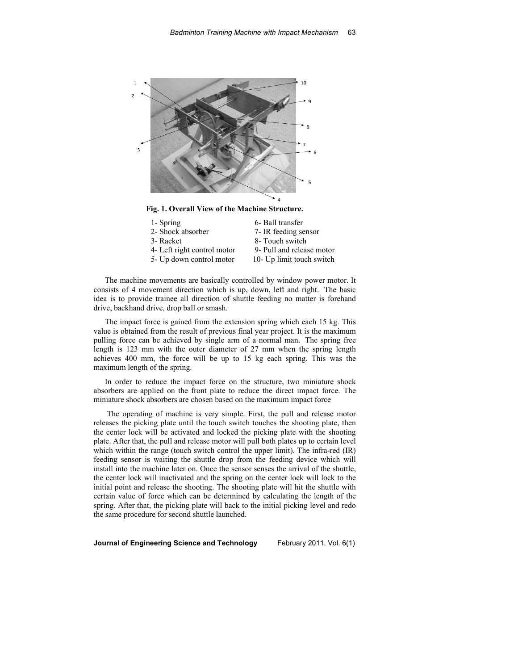

| 9- Pull and release motor |
|---------------------------|
| 10- Up limit touch switch |
|                           |

The machine movements are basically controlled by window power motor. It consists of 4 movement direction which is up, down, left and right. The basic idea is to provide trainee all direction of shuttle feeding no matter is forehand drive, backhand drive, drop ball or smash.

The impact force is gained from the extension spring which each 15 kg. This value is obtained from the result of previous final year project. It is the maximum pulling force can be achieved by single arm of a normal man. The spring free length is 123 mm with the outer diameter of 27 mm when the spring length achieves 400 mm, the force will be up to 15 kg each spring. This was the maximum length of the spring.

In order to reduce the impact force on the structure, two miniature shock absorbers are applied on the front plate to reduce the direct impact force. The miniature shock absorbers are chosen based on the maximum impact force

 The operating of machine is very simple. First, the pull and release motor releases the picking plate until the touch switch touches the shooting plate, then the center lock will be activated and locked the picking plate with the shooting plate. After that, the pull and release motor will pull both plates up to certain level which within the range (touch switch control the upper limit). The infra-red (IR) feeding sensor is waiting the shuttle drop from the feeding device which will install into the machine later on. Once the sensor senses the arrival of the shuttle, the center lock will inactivated and the spring on the center lock will lock to the initial point and release the shooting. The shooting plate will hit the shuttle with certain value of force which can be determined by calculating the length of the spring. After that, the picking plate will back to the initial picking level and redo the same procedure for second shuttle launched.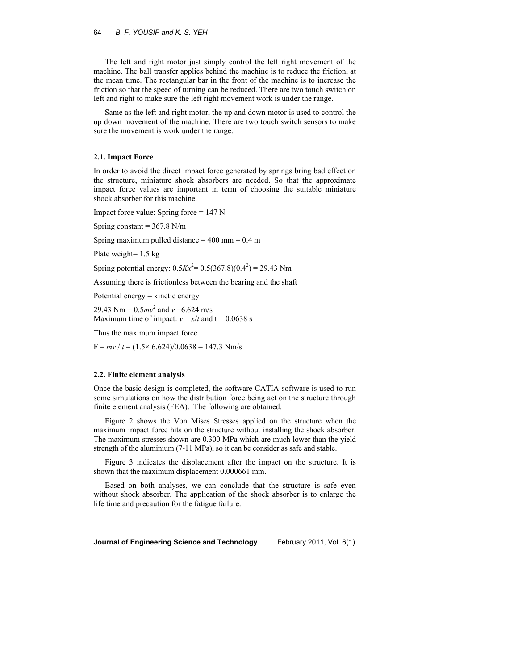The left and right motor just simply control the left right movement of the machine. The ball transfer applies behind the machine is to reduce the friction, at the mean time. The rectangular bar in the front of the machine is to increase the friction so that the speed of turning can be reduced. There are two touch switch on left and right to make sure the left right movement work is under the range.

Same as the left and right motor, the up and down motor is used to control the up down movement of the machine. There are two touch switch sensors to make sure the movement is work under the range.

### **2.1. Impact Force**

In order to avoid the direct impact force generated by springs bring bad effect on the structure, miniature shock absorbers are needed. So that the approximate impact force values are important in term of choosing the suitable miniature shock absorber for this machine.

Impact force value: Spring force = 147 N

Spring constant  $= 367.8$  N/m

Spring maximum pulled distance  $= 400$  mm  $= 0.4$  m

Plate weight= 1.5 kg

Spring potential energy:  $0.5Kx^2 = 0.5(367.8)(0.4^2) = 29.43$  Nm

Assuming there is frictionless between the bearing and the shaft

Potential energy = kinetic energy

29.43 Nm =  $0.5mv^2$  and  $v = 6.624$  m/s Maximum time of impact:  $v = x/t$  and  $t = 0.0638$  s

Thus the maximum impact force

 $F = mv / t = (1.5 \times 6.624)/0.0638 = 147.3$  Nm/s

#### **2.2. Finite element analysis**

Once the basic design is completed, the software CATIA software is used to run some simulations on how the distribution force being act on the structure through finite element analysis (FEA). The following are obtained.

Figure 2 shows the Von Mises Stresses applied on the structure when the maximum impact force hits on the structure without installing the shock absorber. The maximum stresses shown are 0.300 MPa which are much lower than the yield strength of the aluminium (7-11 MPa), so it can be consider as safe and stable.

Figure 3 indicates the displacement after the impact on the structure. It is shown that the maximum displacement 0.000661 mm.

Based on both analyses, we can conclude that the structure is safe even without shock absorber. The application of the shock absorber is to enlarge the life time and precaution for the fatigue failure.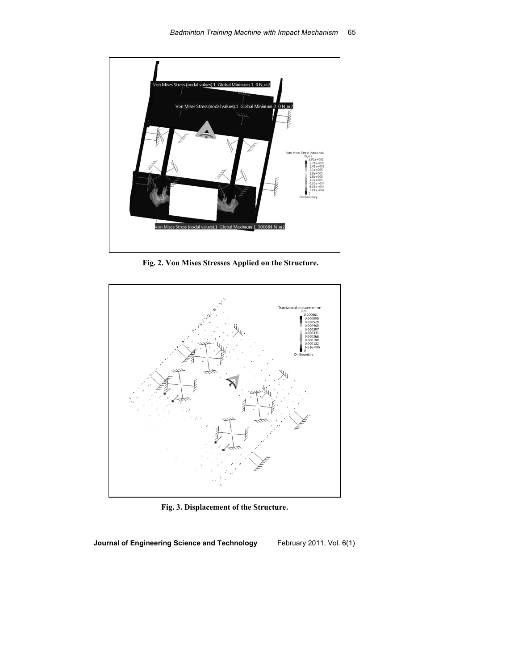

 **Fig. 2. Von Mises Stresses Applied on the Structure.** 



**Fig. 3. Displacement of the Structure.**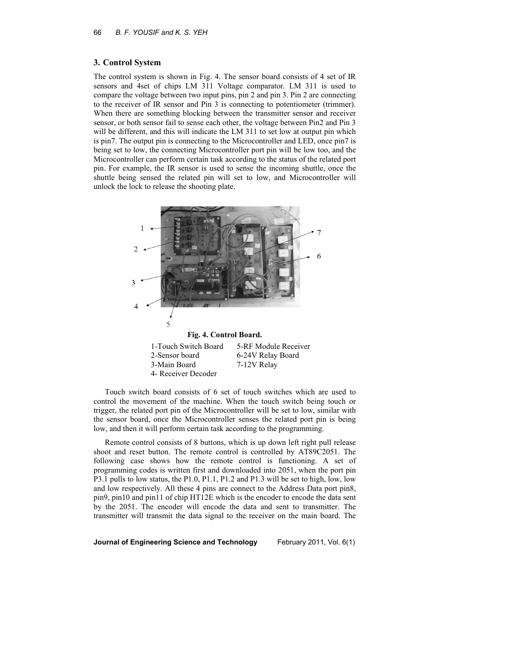## **3. Control System**

The control system is shown in Fig. 4. The sensor board consists of 4 set of IR sensors and 4set of chips LM 311 Voltage comparator. LM 311 is used to compare the voltage between two input pins, pin 2 and pin 3. Pin 2 are connecting to the receiver of IR sensor and Pin 3 is connecting to potentiometer (trimmer). When there are something blocking between the transmitter sensor and receiver sensor, or both sensor fail to sense each other, the voltage between Pin2 and Pin 3 will be different, and this will indicate the LM 311 to set low at output pin which is pin7. The output pin is connecting to the Microcontroller and LED, once pin7 is being set to low, the connecting Microcontroller port pin will be low too, and the Microcontroller can perform certain task according to the status of the related port pin. For example, the IR sensor is used to sense the incoming shuttle, once the shuttle being sensed the related pin will set to low, and Microcontroller will unlock the lock to release the shooting plate.



Touch switch board consists of 6 set of touch switches which are used to control the movement of the machine. When the touch switch being touch or trigger, the related port pin of the Microcontroller will be set to low, similar with the sensor board, once the Microcontroller senses the related port pin is being low, and then it will perform certain task according to the programming.

Remote control consists of 8 buttons, which is up down left right pull release shoot and reset button. The remote control is controlled by AT89C2051. The following case shows how the remote control is functioning. A set of programming codes is written first and downloaded into 2051, when the port pin P3.1 pulls to low status, the P1.0, P1.1, P1.2 and P1.3 will be set to high, low, low and low respectively. All these 4 pins are connect to the Address Data port pin8, pin9, pin10 and pin11 of chip HT12E which is the encoder to encode the data sent by the 2051. The encoder will encode the data and sent to transmitter. The transmitter will transmit the data signal to the receiver on the main board. The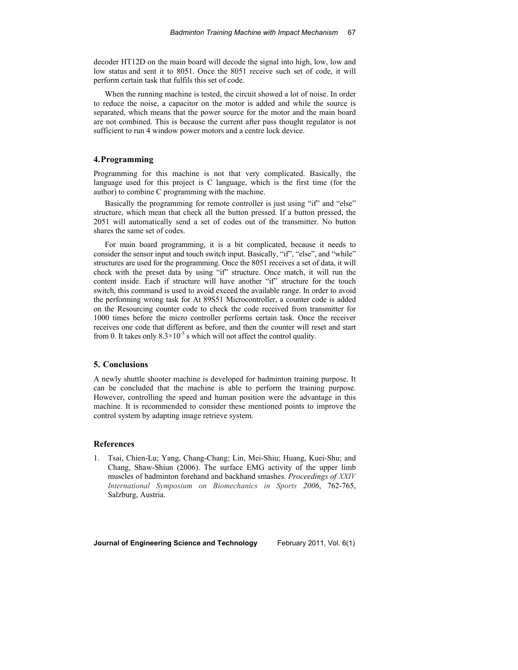decoder HT12D on the main board will decode the signal into high, low, low and low status and sent it to 8051. Once the 8051 receive such set of code, it will perform certain task that fulfils this set of code.

When the running machine is tested, the circuit showed a lot of noise. In order to reduce the noise, a capacitor on the motor is added and while the source is separated, which means that the power source for the motor and the main board are not combined. This is because the current after pass thought regulator is not sufficient to run 4 window power motors and a centre lock device.

### **4.Programming**

Programming for this machine is not that very complicated. Basically, the language used for this project is C language, which is the first time (for the author) to combine C programming with the machine.

Basically the programming for remote controller is just using "if" and "else" structure, which mean that check all the button pressed. If a button pressed, the 2051 will automatically send a set of codes out of the transmitter. No button shares the same set of codes.

For main board programming, it is a bit complicated, because it needs to consider the sensor input and touch switch input. Basically, "if", "else", and "while" structures are used for the programming. Once the 8051 receives a set of data, it will check with the preset data by using "if" structure. Once match, it will run the content inside. Each if structure will have another "if" structure for the touch switch, this command is used to avoid exceed the available range. In order to avoid the performing wrong task for At 89S51 Microcontroller, a counter code is added on the Resourcing counter code to check the code received from transmitter for 1000 times before the micro controller performs certain task. Once the receiver receives one code that different as before, and then the counter will reset and start from 0. It takes only  $8.3 \times 10^{-5}$  s which will not affect the control quality.

### **5. Conclusions**

A newly shuttle shooter machine is developed for badminton training purpose. It can be concluded that the machine is able to perform the training purpose. However, controlling the speed and human position were the advantage in this machine. It is recommended to consider these mentioned points to improve the control system by adapting image retrieve system.

# **References**

1. Tsai, Chien-Lu; Yang, Chang-Chang; Lin, Mei-Shiu; Huang, Kuei-Shu; and Chang, Shaw-Shiun (2006). The surface EMG activity of the upper limb muscles of badminton forehand and backhand smashes. *Proceedings of XXIV International Symposium on Biomechanics in Sports 2006*, 762-765, Salzburg, Austria.